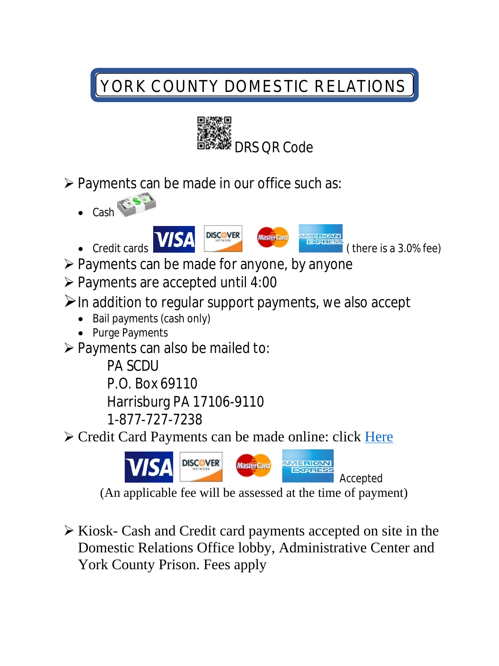# *YORK COUNTY DOMESTIC RELATIONS*



- $\triangleright$  Payments can be made in our office such as:
	- $\bullet$  Cash



- ▶ Payments can be made for anyone, by anyone
- $\triangleright$  Payments are accepted until 4:00
- $\triangleright$  In addition to regular support payments, we also accept
	- Bail payments (cash only)
	- Purge Payments
- $\triangleright$  Payments can also be mailed to:

PA SCDU P.O. Box 69110 Harrisburg PA 17106-9110 1-877-727-7238

► Credit Card Payments can be made online: click Here



(An applicable fee will be assessed at the time of payment)

 $\triangleright$  Kiosk- Cash and Credit card payments accepted on site in the Domestic Relations Office lobby, Administrative Center and York County Prison. Fees apply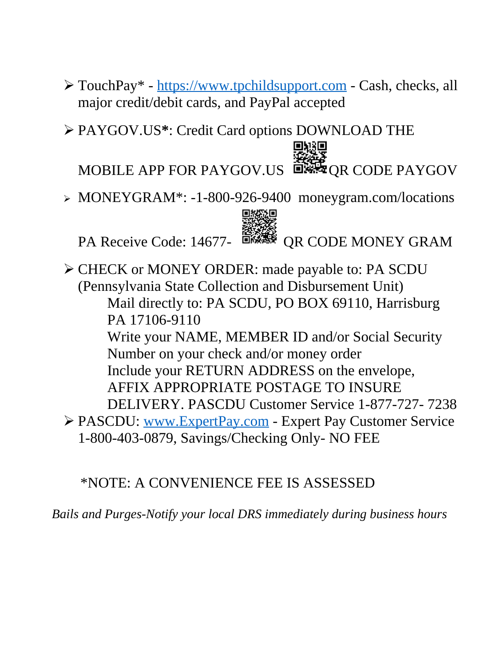- TouchPay\* https://www.tpchildsupport.com Cash, checks, all major credit/[debit cards, and PayPal accepted](https://www.tpchildsupport.com)
- PAYGOV.US**\***: Credit Card options DOWNLOAD THE

MOBILE APP FOR PAYGOV.US  $\overline{D}$ <sub>N</sub>  $\overline{D}$ <sub>N</sub>  $\overline{D}$ <sub>N</sub>  $\overline{D}$ <sub>N</sub>  $\overline{D}$ <sub>N</sub>  $\overline{D}$ <sub>N</sub>  $\overline{D}$ <sub>N</sub>  $\overline{D}$ <sub>N</sub>  $\overline{D}$ <sub>N</sub>  $\overline{D}$ <sub>N</sub>  $\overline{D}$ <sub>N</sub>  $\overline{D}$ <sub>N</sub>  $\overline{D}$ <sub>N</sub>  $\overline{D}$ <sub>N</sub>  $\overline{D}$ <sub>N</sub>  $\overline{D}$ <sub>N</sub>  $\overline{$ 

onio

MONEYGRAM\*: -1-800-926-9400 moneygram.com/locations



PA Receive Code: 14677- STAR QR CODE MONEY GRAM

 CHECK or MONEY ORDER: made payable to: PA SCDU (Pennsylvania State Collection and Disbursement Unit) Mail directly to: PA SCDU, PO BOX 69110, Harrisburg PA 17106-9110 Write your NAME, MEMBER ID and/or Social Security Number on your check and/or money order Include your RETURN ADDRESS on the envelope, AFFIX APPROPRIATE POSTAGE TO INSURE DELIVERY. PASCDU Customer Service 1-877-727- 7238 PASCDU: www.ExpertPay.com - Expert Pay Customer Service 1-800-403[-0879, Savings/Checki](http://www.ExpertPay.com)ng Only- NO FEE

## \*NOTE: A CONVENIENCE FEE IS ASSESSED

*Bails and Purges-Notify your local DRS immediately during business hours*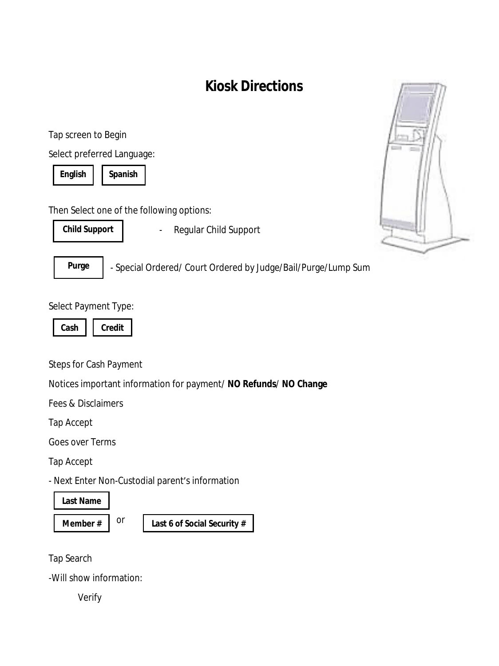# **Kiosk Directions**

Tap screen to Begin

Select preferred Language:

**English Spanish**

Then Select one of the following options:

**Child Support**

- Regular Child Support



- Special Ordered/ Court Ordered by Judge/Bail/Purge/Lump Sum

#### Select Payment Type:

|  | Ш |
|--|---|

Steps for Cash Payment

Notices important information for payment/ **NO Refunds**/ **NO Change**

Fees & Disclaimers

Tap Accept

Goes over Terms

Tap Accept

- Next Enter Non-Custodial parent's information

or

**Last Name**

**Member # Last 6 of Social Security #**

Tap Search

-Will show information:

Verify

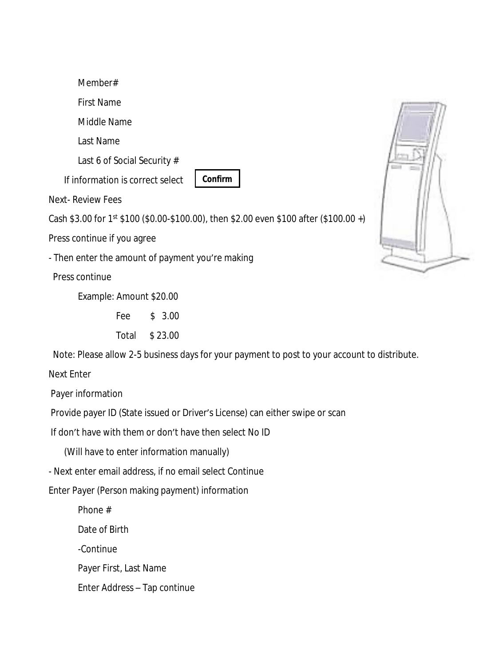Member# First Name Middle Name Last Name Last 6 of Social Security # If information is correct select

**Confirm**

Next- Review Fees

Cash \$3.00 for  $1^{st}$  \$100 (\$0.00-\$100.00), then \$2.00 even \$100 after (\$100.00 +)

Press continue if you agree

- Then enter the amount of payment you're making

Press continue

Example: Amount \$20.00

Fee \$ 3.00

Total \$ 23.00

Note: Please allow 2-5 business days for your payment to post to your account to distribute.

Next Enter

Payer information

Provide payer ID (State issued or Driver's License) can either swipe or scan

If don't have with them or don't have then select No ID

(Will have to enter information manually)

- Next enter email address, if no email select Continue

Enter Payer (Person making payment) information

Phone #

Date of Birth

-Continue

Payer First, Last Name

Enter Address – Tap continue